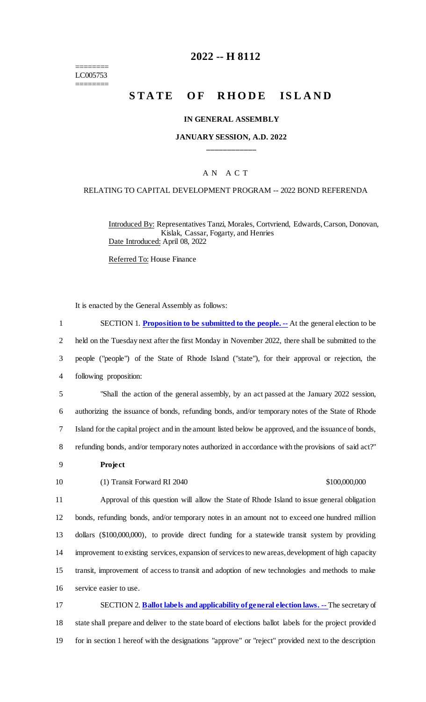======== LC005753 ========

# **2022 -- H 8112**

# **STATE OF RHODE ISLAND**

#### **IN GENERAL ASSEMBLY**

### **JANUARY SESSION, A.D. 2022 \_\_\_\_\_\_\_\_\_\_\_\_**

## A N A C T

#### RELATING TO CAPITAL DEVELOPMENT PROGRAM -- 2022 BOND REFERENDA

Introduced By: Representatives Tanzi, Morales, Cortvriend, Edwards, Carson, Donovan, Kislak, Cassar, Fogarty, and Henries Date Introduced: April 08, 2022

Referred To: House Finance

It is enacted by the General Assembly as follows:

 SECTION 1. **Proposition to be submitted to the people. --** At the general election to be held on the Tuesday next after the first Monday in November 2022, there shall be submitted to the people ("people") of the State of Rhode Island ("state"), for their approval or rejection, the following proposition: "Shall the action of the general assembly, by an act passed at the January 2022 session, authorizing the issuance of bonds, refunding bonds, and/or temporary notes of the State of Rhode Island for the capital project and in the amount listed below be approved, and the issuance of bonds, refunding bonds, and/or temporary notes authorized in accordance with the provisions of said act?" 9 **Project** 10 (1) Transit Forward RI 2040 \$100,000,000 Approval of this question will allow the State of Rhode Island to issue general obligation bonds, refunding bonds, and/or temporary notes in an amount not to exceed one hundred million dollars (\$100,000,000), to provide direct funding for a statewide transit system by providing improvement to existing services, expansion of services to new areas, development of high capacity transit, improvement of access to transit and adoption of new technologies and methods to make service easier to use. SECTION 2. **Ballot labels and applicability of general election laws. --** The secretary of

18 state shall prepare and deliver to the state board of elections ballot labels for the project provided 19 for in section 1 hereof with the designations "approve" or "reject" provided next to the description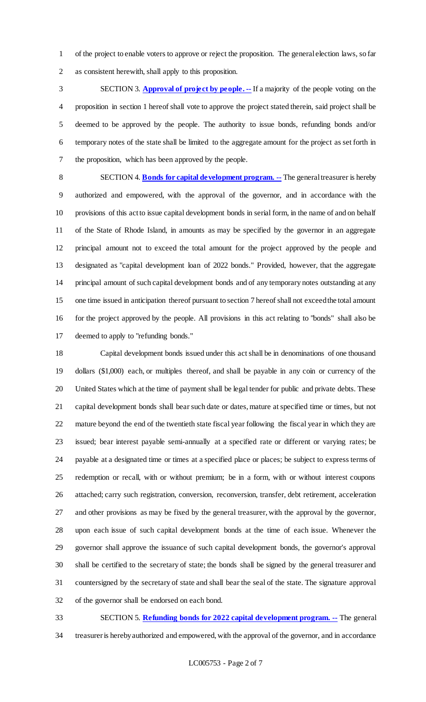of the project to enable voters to approve or reject the proposition. The general election laws, so far as consistent herewith, shall apply to this proposition.

 SECTION 3. **Approval of project by people. --** If a majority of the people voting on the proposition in section 1 hereof shall vote to approve the project stated therein, said project shall be deemed to be approved by the people. The authority to issue bonds, refunding bonds and/or temporary notes of the state shall be limited to the aggregate amount for the project as set forth in the proposition, which has been approved by the people.

 SECTION 4. **Bonds for capital development program. --** The general treasurer is hereby authorized and empowered, with the approval of the governor, and in accordance with the provisions of this act to issue capital development bonds in serial form, in the name of and on behalf of the State of Rhode Island, in amounts as may be specified by the governor in an aggregate principal amount not to exceed the total amount for the project approved by the people and designated as "capital development loan of 2022 bonds." Provided, however, that the aggregate principal amount of such capital development bonds and of any temporary notes outstanding at any one time issued in anticipation thereof pursuant to section 7 hereof shall not exceed the total amount for the project approved by the people. All provisions in this act relating to "bonds" shall also be deemed to apply to "refunding bonds."

 Capital development bonds issued under this act shall be in denominations of one thousand dollars (\$1,000) each, or multiples thereof, and shall be payable in any coin or currency of the United States which at the time of payment shall be legal tender for public and private debts. These capital development bonds shall bear such date or dates, mature at specified time or times, but not mature beyond the end of the twentieth state fiscal year following the fiscal year in which they are issued; bear interest payable semi-annually at a specified rate or different or varying rates; be payable at a designated time or times at a specified place or places; be subject to express terms of redemption or recall, with or without premium; be in a form, with or without interest coupons attached; carry such registration, conversion, reconversion, transfer, debt retirement, acceleration and other provisions as may be fixed by the general treasurer, with the approval by the governor, upon each issue of such capital development bonds at the time of each issue. Whenever the governor shall approve the issuance of such capital development bonds, the governor's approval shall be certified to the secretary of state; the bonds shall be signed by the general treasurer and countersigned by the secretary of state and shall bear the seal of the state. The signature approval of the governor shall be endorsed on each bond.

 SECTION 5. **Refunding bonds for 2022 capital development program. --** The general treasurer is hereby authorized and empowered, with the approval of the governor, and in accordance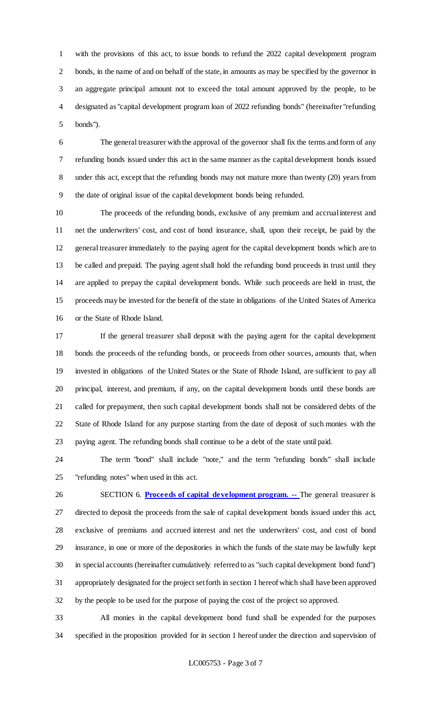with the provisions of this act, to issue bonds to refund the 2022 capital development program bonds, in the name of and on behalf of the state, in amounts as may be specified by the governor in an aggregate principal amount not to exceed the total amount approved by the people, to be designated as "capital development program loan of 2022 refunding bonds" (hereinafter "refunding bonds").

 The general treasurer with the approval of the governor shall fix the terms and form of any refunding bonds issued under this act in the same manner as the capital development bonds issued under this act, except that the refunding bonds may not mature more than twenty (20) years from the date of original issue of the capital development bonds being refunded.

 The proceeds of the refunding bonds, exclusive of any premium and accrual interest and net the underwriters' cost, and cost of bond insurance, shall, upon their receipt, be paid by the general treasurer immediately to the paying agent for the capital development bonds which are to be called and prepaid. The paying agent shall hold the refunding bond proceeds in trust until they are applied to prepay the capital development bonds. While such proceeds are held in trust, the proceeds may be invested for the benefit of the state in obligations of the United States of America or the State of Rhode Island.

 If the general treasurer shall deposit with the paying agent for the capital development bonds the proceeds of the refunding bonds, or proceeds from other sources, amounts that, when invested in obligations of the United States or the State of Rhode Island, are sufficient to pay all principal, interest, and premium, if any, on the capital development bonds until these bonds are called for prepayment, then such capital development bonds shall not be considered debts of the State of Rhode Island for any purpose starting from the date of deposit of such monies with the paying agent. The refunding bonds shall continue to be a debt of the state until paid.

 The term "bond" shall include "note," and the term "refunding bonds" shall include "refunding notes" when used in this act.

 SECTION 6. **Proceeds of capital development program. --** The general treasurer is directed to deposit the proceeds from the sale of capital development bonds issued under this act, exclusive of premiums and accrued interest and net the underwriters' cost, and cost of bond insurance, in one or more of the depositories in which the funds of the state may be lawfully kept in special accounts (hereinafter cumulatively referred to as "such capital development bond fund") 31 appropriately designated for the project set forth in section 1 hereof which shall have been approved by the people to be used for the purpose of paying the cost of the project so approved.

 All monies in the capital development bond fund shall be expended for the purposes specified in the proposition provided for in section 1 hereof under the direction and supervision of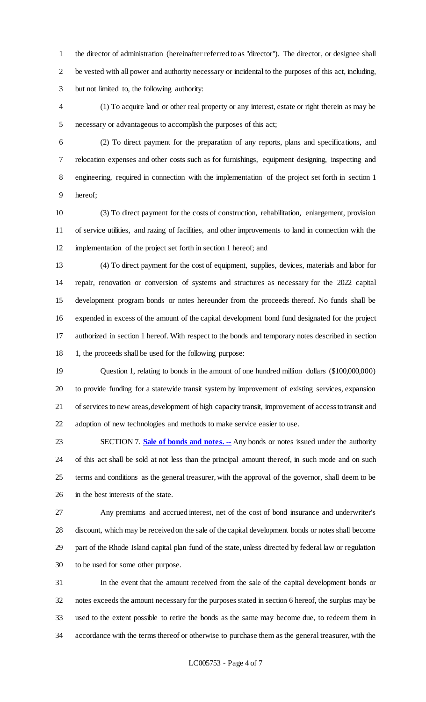the director of administration (hereinafter referred to as "director"). The director, or designee shall be vested with all power and authority necessary or incidental to the purposes of this act, including, but not limited to, the following authority:

 (1) To acquire land or other real property or any interest, estate or right therein as may be necessary or advantageous to accomplish the purposes of this act;

 (2) To direct payment for the preparation of any reports, plans and specifications, and relocation expenses and other costs such as for furnishings, equipment designing, inspecting and engineering, required in connection with the implementation of the project set forth in section 1 hereof;

 (3) To direct payment for the costs of construction, rehabilitation, enlargement, provision of service utilities, and razing of facilities, and other improvements to land in connection with the implementation of the project set forth in section 1 hereof; and

 (4) To direct payment for the cost of equipment, supplies, devices, materials and labor for repair, renovation or conversion of systems and structures as necessary for the 2022 capital development program bonds or notes hereunder from the proceeds thereof. No funds shall be expended in excess of the amount of the capital development bond fund designated for the project authorized in section 1 hereof. With respect to the bonds and temporary notes described in section 1, the proceeds shall be used for the following purpose:

 Question 1, relating to bonds in the amount of one hundred million dollars (\$100,000,000) to provide funding for a statewide transit system by improvement of existing services, expansion of services to new areas, development of high capacity transit, improvement of access to transit and adoption of new technologies and methods to make service easier to use.

 SECTION 7. **Sale of bonds and notes. --** Any bonds or notes issued under the authority of this act shall be sold at not less than the principal amount thereof, in such mode and on such terms and conditions as the general treasurer, with the approval of the governor, shall deem to be in the best interests of the state.

 Any premiums and accrued interest, net of the cost of bond insurance and underwriter's discount, which may be received on the sale of the capital development bonds or notes shall become part of the Rhode Island capital plan fund of the state, unless directed by federal law or regulation to be used for some other purpose.

 In the event that the amount received from the sale of the capital development bonds or notes exceeds the amount necessary for the purposes stated in section 6 hereof, the surplus may be used to the extent possible to retire the bonds as the same may become due, to redeem them in accordance with the terms thereof or otherwise to purchase them as the general treasurer, with the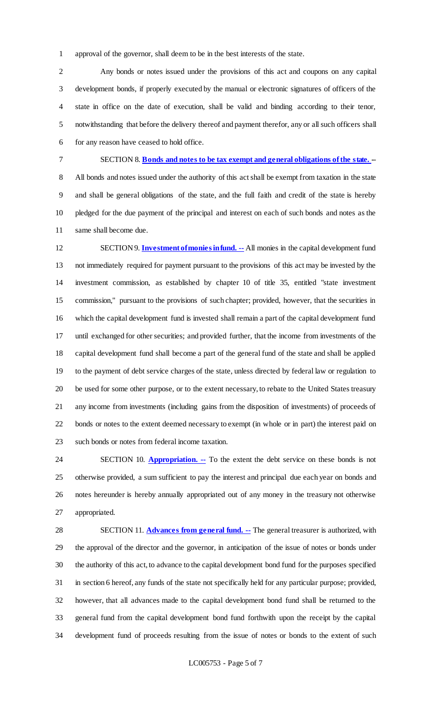approval of the governor, shall deem to be in the best interests of the state.

 Any bonds or notes issued under the provisions of this act and coupons on any capital development bonds, if properly executed by the manual or electronic signatures of officers of the state in office on the date of execution, shall be valid and binding according to their tenor, notwithstanding that before the delivery thereof and payment therefor, any or all such officers shall for any reason have ceased to hold office.

SECTION 8. **Bonds and notes to be tax exempt and general obligations of the state. -**-

 All bonds and notes issued under the authority of this act shall be exempt from taxation in the state and shall be general obligations of the state, and the full faith and credit of the state is hereby pledged for the due payment of the principal and interest on each of such bonds and notes as the same shall become due.

 SECTION 9. **Investment of monies in fund. --** All monies in the capital development fund not immediately required for payment pursuant to the provisions of this act may be invested by the investment commission, as established by chapter 10 of title 35, entitled "state investment commission," pursuant to the provisions of such chapter; provided, however, that the securities in which the capital development fund is invested shall remain a part of the capital development fund until exchanged for other securities; and provided further, that the income from investments of the capital development fund shall become a part of the general fund of the state and shall be applied to the payment of debt service charges of the state, unless directed by federal law or regulation to be used for some other purpose, or to the extent necessary, to rebate to the United States treasury any income from investments (including gains from the disposition of investments) of proceeds of bonds or notes to the extent deemed necessary to exempt (in whole or in part) the interest paid on such bonds or notes from federal income taxation.

24 SECTION 10. **Appropriation.** -- To the extent the debt service on these bonds is not otherwise provided, a sum sufficient to pay the interest and principal due each year on bonds and notes hereunder is hereby annually appropriated out of any money in the treasury not otherwise appropriated.

 SECTION 11. **Advances from general fund. --** The general treasurer is authorized, with the approval of the director and the governor, in anticipation of the issue of notes or bonds under the authority of this act, to advance to the capital development bond fund for the purposes specified in section 6 hereof, any funds of the state not specifically held for any particular purpose; provided, however, that all advances made to the capital development bond fund shall be returned to the general fund from the capital development bond fund forthwith upon the receipt by the capital development fund of proceeds resulting from the issue of notes or bonds to the extent of such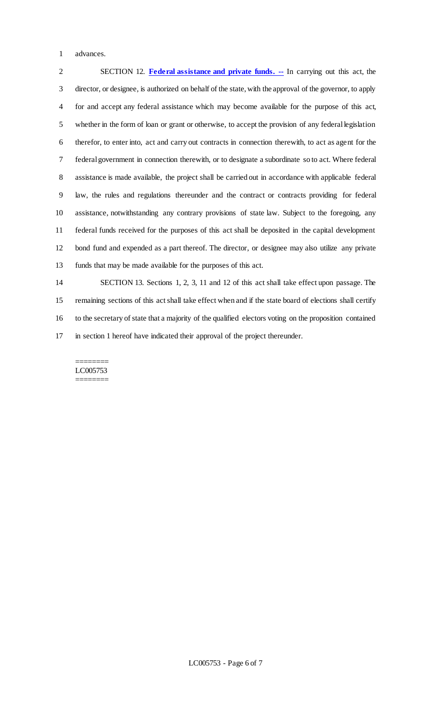advances.

 SECTION 12. **Federal assistance and private funds. --** In carrying out this act, the director, or designee, is authorized on behalf of the state, with the approval of the governor, to apply for and accept any federal assistance which may become available for the purpose of this act, whether in the form of loan or grant or otherwise, to accept the provision of any federal legislation therefor, to enter into, act and carry out contracts in connection therewith, to act as agent for the federal government in connection therewith, or to designate a subordinate so to act. Where federal assistance is made available, the project shall be carried out in accordance with applicable federal law, the rules and regulations thereunder and the contract or contracts providing for federal assistance, notwithstanding any contrary provisions of state law. Subject to the foregoing, any federal funds received for the purposes of this act shall be deposited in the capital development bond fund and expended as a part thereof. The director, or designee may also utilize any private funds that may be made available for the purposes of this act.

 SECTION 13. Sections 1, 2, 3, 11 and 12 of this act shall take effect upon passage. The remaining sections of this act shall take effect when and if the state board of elections shall certify to the secretary of state that a majority of the qualified electors voting on the proposition contained in section 1 hereof have indicated their approval of the project thereunder.

#### ======== LC005753 ========